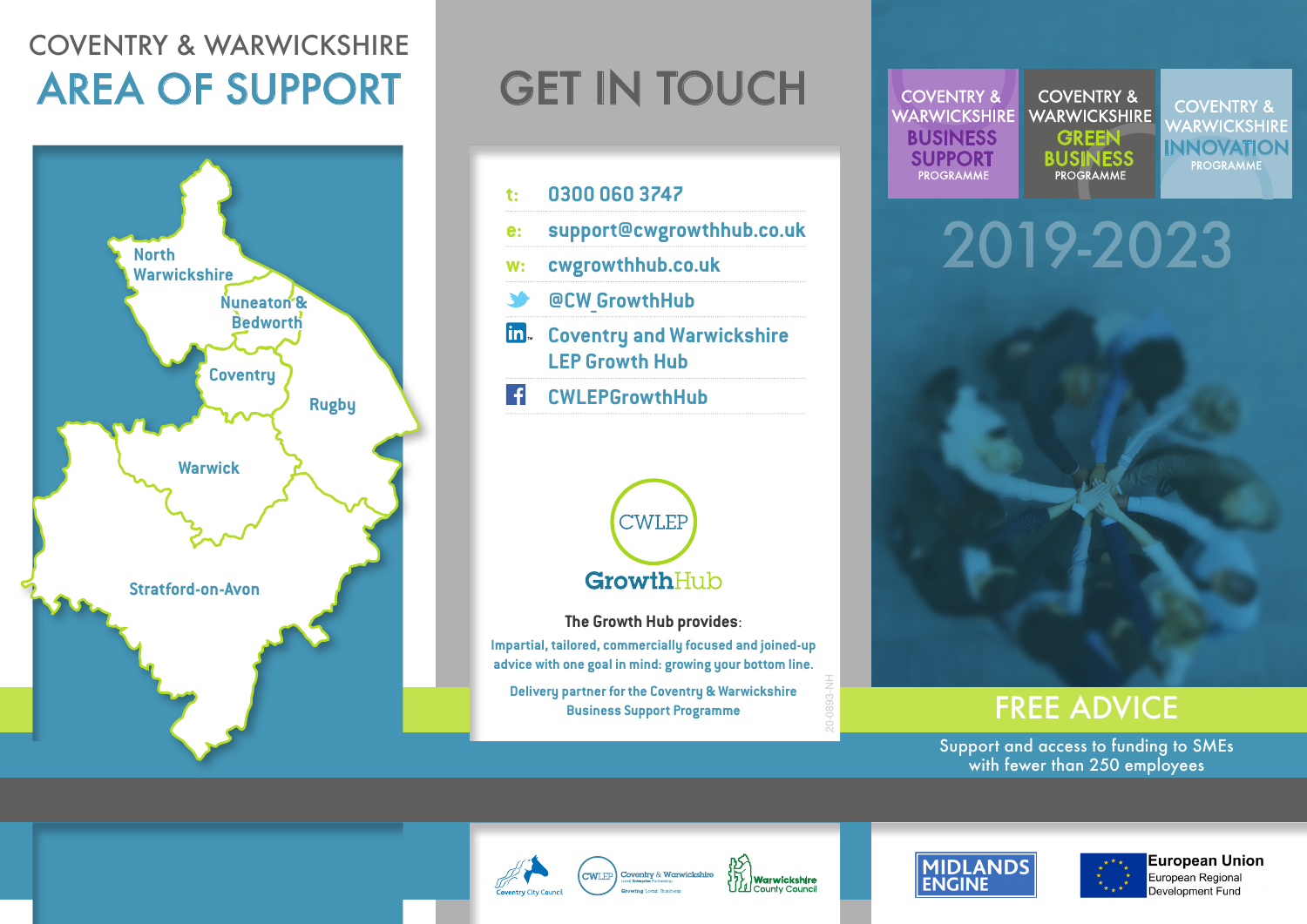### COVENTRY & WARWICKSHIRE AREA OF SUPPORT



## **GET IN TOUCH**





**The Growth Hub provides**:

**Impartial, tailored, commercially focused and joined-up advice with one goal in mind: growing your bottom line.** 

**Delivery partner for the Coventry & Warwickshire Business Support Programme**  $\frac{3}{8}$  **FREE ADVICE** 

**COVENTRY & COVENTRY & WARWICKSHIRE WARWICKSHIRE** EN ENSINESS GREEN INNOVATION<br>ENSINESS BUSINESS BUSINESS PROGRAMME SUPPORT SUPPORT BUSINESS

**COVENTRY &** WARWICKSHIRE<br>INNOVATION<br>PROGRAMME

# 2019-2023



Support and access to funding to SMEs with fewer than 250 employees





20-0893-NH





**European Union** European Regional Development Fund